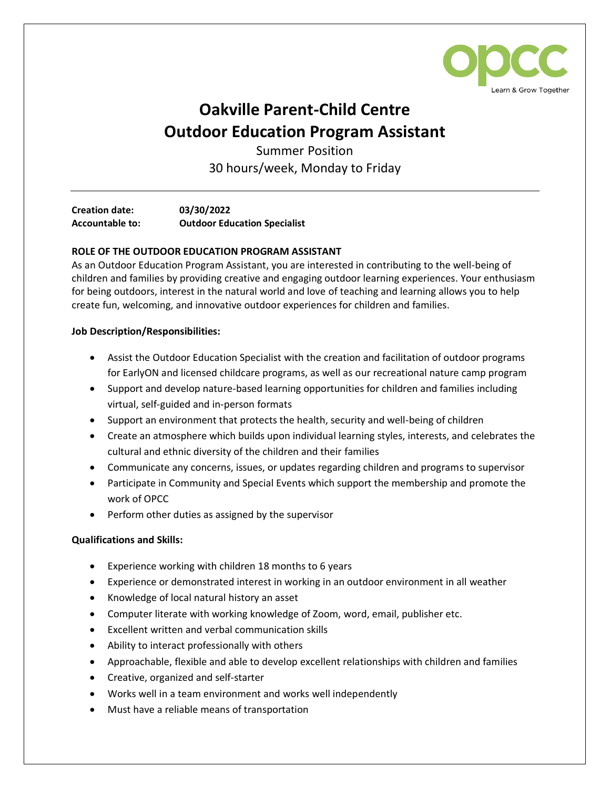

## **Oakville Parent-Child Centre Outdoor Education Program Assistant**

Summer Position 30 hours/week, Monday to Friday

**Creation date: 03/30/2022 Accountable to: Outdoor Education Specialist**

## **ROLE OF THE OUTDOOR EDUCATION PROGRAM ASSISTANT**

As an Outdoor Education Program Assistant, you are interested in contributing to the well-being of children and families by providing creative and engaging outdoor learning experiences. Your enthusiasm for being outdoors, interest in the natural world and love of teaching and learning allows you to help create fun, welcoming, and innovative outdoor experiences for children and families.

## **Job Description/Responsibilities:**

- Assist the Outdoor Education Specialist with the creation and facilitation of outdoor programs for EarlyON and licensed childcare programs, as well as our recreational nature camp program
- Support and develop nature-based learning opportunities for children and families including virtual, self-guided and in-person formats
- Support an environment that protects the health, security and well-being of children
- Create an atmosphere which builds upon individual learning styles, interests, and celebrates the cultural and ethnic diversity of the children and their families
- Communicate any concerns, issues, or updates regarding children and programs to supervisor
- Participate in Community and Special Events which support the membership and promote the work of OPCC
- Perform other duties as assigned by the supervisor

## **Qualifications and Skills:**

- Experience working with children 18 months to 6 years
- Experience or demonstrated interest in working in an outdoor environment in all weather
- Knowledge of local natural history an asset
- Computer literate with working knowledge of Zoom, word, email, publisher etc.
- Excellent written and verbal communication skills
- Ability to interact professionally with others
- Approachable, flexible and able to develop excellent relationships with children and families
- Creative, organized and self-starter
- Works well in a team environment and works well independently
- Must have a reliable means of transportation